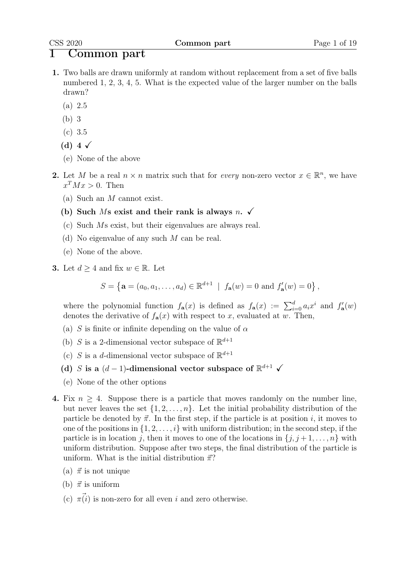### 1 Common part

- 1. Two balls are drawn uniformly at random without replacement from a set of five balls numbered 1, 2, 3, 4, 5. What is the expected value of the larger number on the balls drawn?
	- (a) 2.5
	- (b) 3
	- (c) 3.5
	- (d) 4  $\checkmark$
	- (e) None of the above
- 2. Let M be a real  $n \times n$  matrix such that for *every* non-zero vector  $x \in \mathbb{R}^n$ , we have  $x^T M x > 0$ . Then
	- (a) Such an M cannot exist.
	- (b) Such Ms exist and their rank is always n.  $\checkmark$
	- (c) Such Ms exist, but their eigenvalues are always real.
	- (d) No eigenvalue of any such M can be real.
	- (e) None of the above.
- **3.** Let  $d \geq 4$  and fix  $w \in \mathbb{R}$ . Let

$$
S = \left\{ \mathbf{a} = (a_0, a_1, \dots, a_d) \in \mathbb{R}^{d+1} \: \mid \: f_{\mathbf{a}}(w) = 0 \text{ and } f'_{\mathbf{a}}(w) = 0 \right\},
$$

where the polynomial function  $f_{\mathbf{a}}(x)$  is defined as  $f_{\mathbf{a}}(x) := \sum_{i=0}^{d} a_i x^i$  and  $f'_{\mathbf{a}}(w)$ denotes the derivative of  $f_{\mathbf{a}}(x)$  with respect to x, evaluated at w. Then,

- (a) S is finite or infinite depending on the value of  $\alpha$
- (b) S is a 2-dimensional vector subspace of  $\mathbb{R}^{d+1}$
- (c) S is a d-dimensional vector subspace of  $\mathbb{R}^{d+1}$
- (d) S is a  $(d-1)$ -dimensional vector subspace of  $\mathbb{R}^{d+1}$   $\checkmark$
- (e) None of the other options
- 4. Fix  $n \geq 4$ . Suppose there is a particle that moves randomly on the number line, but never leaves the set  $\{1, 2, \ldots, n\}$ . Let the initial probability distribution of the particle be denoted by  $\vec{\pi}$ . In the first step, if the particle is at position i, it moves to one of the positions in  $\{1, 2, \ldots, i\}$  with uniform distribution; in the second step, if the particle is in location j, then it moves to one of the locations in  $\{j, j+1, \ldots, n\}$  with uniform distribution. Suppose after two steps, the final distribution of the particle is uniform. What is the initial distribution  $\vec{\pi}$ ?
	- (a)  $\vec{\pi}$  is not unique
	- (b)  $\vec{\pi}$  is uniform
	- (c)  $\pi(i)$  is non-zero for all even i and zero otherwise.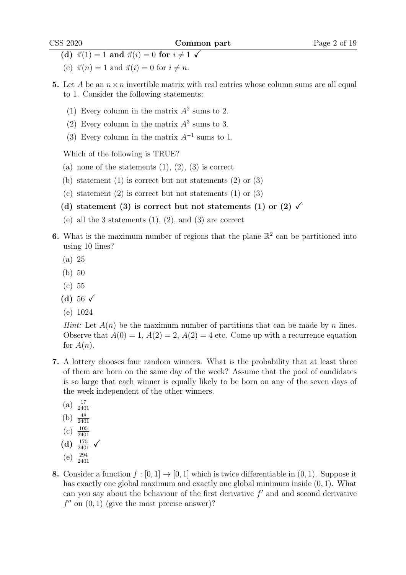- (d)  $\vec{\pi}(1) = 1$  and  $\vec{\pi}(i) = 0$  for  $i \neq 1$   $\checkmark$
- (e)  $\vec{\pi}(n) = 1$  and  $\vec{\pi}(i) = 0$  for  $i \neq n$ .
- 5. Let A be an  $n \times n$  invertible matrix with real entries whose column sums are all equal to 1. Consider the following statements:
	- (1) Every column in the matrix  $A^2$  sums to 2.
	- (2) Every column in the matrix  $A^3$  sums to 3.
	- (3) Every column in the matrix  $A^{-1}$  sums to 1.

- (a) none of the statements  $(1), (2), (3)$  is correct
- (b) statement  $(1)$  is correct but not statements  $(2)$  or  $(3)$
- (c) statement  $(2)$  is correct but not statements  $(1)$  or  $(3)$
- (d) statement (3) is correct but not statements (1) or (2)  $\checkmark$
- (e) all the 3 statements  $(1)$ ,  $(2)$ , and  $(3)$  are correct
- **6.** What is the maximum number of regions that the plane  $\mathbb{R}^2$  can be partitioned into using 10 lines?
	- (a) 25
	- (b) 50
	- (c) 55
	- (d) 56  $\sqrt{ }$
	- (e) 1024

*Hint:* Let  $A(n)$  be the maximum number of partitions that can be made by n lines. Observe that  $A(0) = 1$ ,  $A(2) = 2$ ,  $A(2) = 4$  etc. Come up with a recurrence equation for  $A(n)$ .

- 7. A lottery chooses four random winners. What is the probability that at least three of them are born on the same day of the week? Assume that the pool of candidates is so large that each winner is equally likely to be born on any of the seven days of the week independent of the other winners.
	- $(a) \frac{17}{2401}$
	- (b)  $\frac{48}{2401}$
	-
	- $(c) \frac{105}{2401}$
	- (d)  $\frac{175}{2401}$   $\checkmark$
	- $(e)$   $\frac{294}{2401}$
- 8. Consider a function  $f : [0, 1] \rightarrow [0, 1]$  which is twice differentiable in  $(0, 1)$ . Suppose it has exactly one global maximum and exactly one global minimum inside (0, 1). What can you say about the behaviour of the first derivative  $f'$  and and second derivative  $f''$  on  $(0, 1)$  (give the most precise answer)?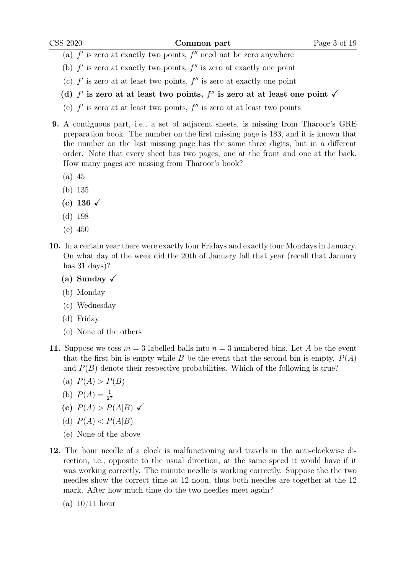- (a)  $f'$  is zero at exactly two points,  $f''$  need not be zero anywhere
- (b)  $f'$  is zero at exactly two points,  $f''$  is zero at exactly one point
- (c)  $f'$  is zero at at least two points,  $f''$  is zero at exactly one point
- (d)  $f'$  is zero at at least two points,  $f''$  is zero at at least one point  $\checkmark$
- (e)  $f'$  is zero at at least two points,  $f''$  is zero at at least two points
- 9. A contiguous part, i.e., a set of adjacent sheets, is missing from Tharoor's GRE preparation book. The number on the first missing page is 183, and it is known that the number on the last missing page has the same three digits, but in a different order. Note that every sheet has two pages, one at the front and one at the back. How many pages are missing from Tharoor's book?
	- (a) 45
	- (b) 135
	- (c) 136  $\sqrt{ }$
	- (d) 198
	- (e) 450
- 10. In a certain year there were exactly four Fridays and exactly four Mondays in January. On what day of the week did the 20th of January fall that year (recall that January has 31 days)?
	- (a) Sunday  $\sqrt{ }$
	- (b) Monday
	- (c) Wednesday
	- (d) Friday
	- (e) None of the others
- 11. Suppose we toss  $m = 3$  labelled balls into  $n = 3$  numbered bins. Let A be the event that the first bin is empty while B be the event that the second bin is empty.  $P(A)$ and  $P(B)$  denote their respective probabilities. Which of the following is true?
	- (a)  $P(A) > P(B)$
	- (b)  $P(A) = \frac{1}{27}$
	- (c)  $P(A) > P(A|B) \checkmark$
	- (d)  $P(A) < P(A|B)$
	- (e) None of the above
- 12. The hour needle of a clock is malfunctioning and travels in the anti-clockwise direction, i.e., opposite to the usual direction, at the same speed it would have if it was working correctly. The minute needle is working correctly. Suppose the the two needles show the correct time at 12 noon, thus both needles are together at the 12 mark. After how much time do the two needles meet again?
	- (a) 10/11 hour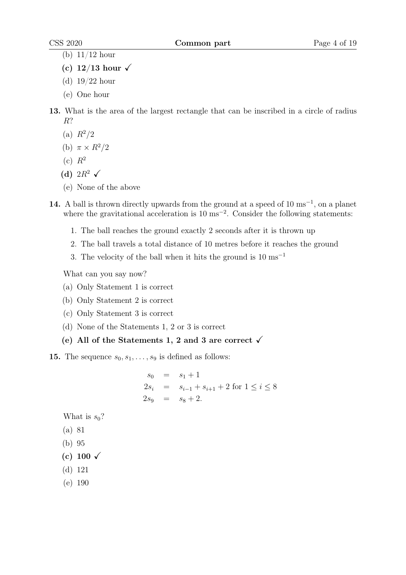- (b) 11/12 hour
- (c)  $12/13$  hour  $\checkmark$
- (d) 19/22 hour
- (e) One hour
- 13. What is the area of the largest rectangle that can be inscribed in a circle of radius R?
	- (a)  $R^2/2$
	- (b)  $\pi \times R^2/2$
	- $(c)$   $R^2$
	- (d)  $2R^2 \checkmark$
	- (e) None of the above
- 14. A ball is thrown directly upwards from the ground at a speed of 10 ms<sup>-1</sup>, on a planet where the gravitational acceleration is 10 ms<sup>-2</sup>. Consider the following statements:
	- 1. The ball reaches the ground exactly 2 seconds after it is thrown up
	- 2. The ball travels a total distance of 10 metres before it reaches the ground
	- 3. The velocity of the ball when it hits the ground is  $10 \text{ ms}^{-1}$

What can you say now?

- (a) Only Statement 1 is correct
- (b) Only Statement 2 is correct
- (c) Only Statement 3 is correct
- (d) None of the Statements 1, 2 or 3 is correct
- (e) All of the Statements 1, 2 and 3 are correct  $\checkmark$
- **15.** The sequence  $s_0, s_1, \ldots, s_9$  is defined as follows:

$$
s_0 = s_1 + 1
$$
  
\n
$$
2s_i = s_{i-1} + s_{i+1} + 2 \text{ for } 1 \le i \le 8
$$
  
\n
$$
2s_9 = s_8 + 2.
$$

What is  $s_0$ ?

- (a) 81
- (b) 95
- (c) 100  $\checkmark$
- (d) 121
- (e) 190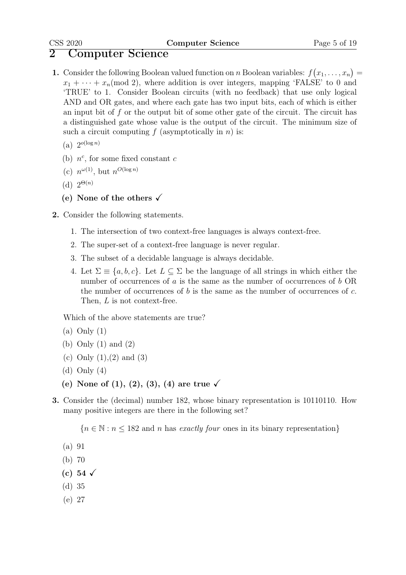## 2 Computer Science

- **1.** Consider the following Boolean valued function on n Boolean variables:  $f(x_1, \ldots, x_n) =$  $x_1 + \cdots + x_n \pmod{2}$ , where addition is over integers, mapping 'FALSE' to 0 and 'TRUE' to 1. Consider Boolean circuits (with no feedback) that use only logical AND and OR gates, and where each gate has two input bits, each of which is either an input bit of  $f$  or the output bit of some other gate of the circuit. The circuit has a distinguished gate whose value is the output of the circuit. The minimum size of such a circuit computing  $f$  (asymptotically in  $n$ ) is:
	- (a)  $2^{o(\log n)}$
	- (b)  $n^c$ , for some fixed constant c
	- (c)  $n^{\omega(1)}$ , but  $n^{O(\log n)}$
	- (d)  $2^{\Theta(n)}$
	- (e) None of the others  $\sqrt{ }$
- 2. Consider the following statements.
	- 1. The intersection of two context-free languages is always context-free.
	- 2. The super-set of a context-free language is never regular.
	- 3. The subset of a decidable language is always decidable.
	- 4. Let  $\Sigma \equiv \{a, b, c\}$ . Let  $L \subseteq \Sigma$  be the language of all strings in which either the number of occurrences of  $a$  is the same as the number of occurrences of  $b$  OR the number of occurrences of b is the same as the number of occurrences of c. Then, L is not context-free.

Which of the above statements are true?

- $(a)$  Only  $(1)$
- (b) Only (1) and (2)
- (c) Only  $(1),(2)$  and  $(3)$
- (d) Only (4)
- (e) None of  $(1), (2), (3), (4)$  are true  $\checkmark$
- 3. Consider the (decimal) number 182, whose binary representation is 10110110. How many positive integers are there in the following set?

 ${n \in \mathbb{N} : n \le 182}$  and n has exactly four ones in its binary representation

- (a) 91
- (b) 70
- (c) 54  $\sqrt{ }$
- (d) 35
- (e) 27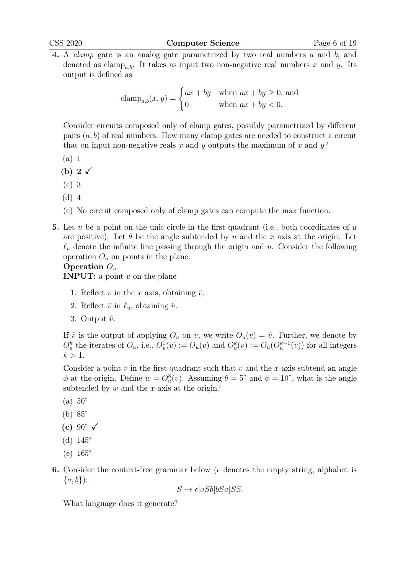4. A clamp gate is an analog gate parametrized by two real numbers a and b, and denoted as clamp<sub>a,b</sub>. It takes as input two non-negative real numbers x and y. Its output is defined as

$$
clamp_{a,b}(x,y) = \begin{cases} ax + by & \text{when } ax + by \ge 0, \text{ and} \\ 0 & \text{when } ax + by < 0. \end{cases}
$$

Consider circuits composed only of clamp gates, possibly parametrized by different pairs  $(a, b)$  of real numbers. How many clamp gates are needed to construct a circuit that on input non-negative reals x and y outputs the maximum of x and  $y$ ?

- (a) 1
- (b) 2 $\checkmark$
- (c) 3
- (d) 4
- (e) No circuit composed only of clamp gates can compute the max function.
- 5. Let u be a point on the unit circle in the first quadrant (i.e., both coordinates of  $u$ are positive). Let  $\theta$  be the angle subtended by u and the x axis at the origin. Let  $\ell_u$  denote the infinite line passing through the origin and u. Consider the following operation  $O_u$  on points in the plane.

#### Operation  $O_u$

**INPUT:** a point  $v$  on the plane

- 1. Reflect v in the x axis, obtaining  $\tilde{v}$ .
- 2. Reflect  $\tilde{v}$  in  $\ell_u$ , obtaining  $\hat{v}$ .
- 3. Output  $\hat{v}$ .

If  $\hat{v}$  is the output of applying  $O_u$  on v, we write  $O_u(v) = \hat{v}$ . Further, we denote by  $O_u^k$  the iterates of  $O_u$ , i.e.,  $O_u^1(v) := O_u(v)$  and  $O_u^k(v) := O_u(O_u^{k-1}(v))$  for all integers  $k > 1$ .

Consider a point  $v$  in the first quadrant such that  $v$  and the  $x$ -axis subtend an angle  $\phi$  at the origin. Define  $w = O_u^8(v)$ . Assuming  $\theta = 5^{\circ}$  and  $\phi = 10^{\circ}$ , what is the angle subtended by  $w$  and the  $x$ -axis at the origin?

- $(a) 50^\circ$
- (b) 85◦
- (c)  $90^\circ \checkmark$
- (d)  $145^\circ$
- (e) 165◦
- 6. Consider the context-free grammar below ( $\epsilon$  denotes the empty string, alphabet is  $\{a, b\}$ :

$$
S \to \epsilon |aSb|bSa|SS.
$$

What language does it generate?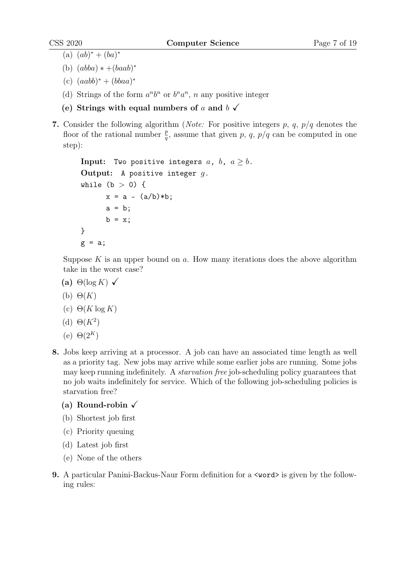- (a)  $(ab)^* + (ba)^*$
- (b)  $(abba) * +(baab)^*$
- $(c) (aab^* + (bbaa)^*$
- (d) Strings of the form  $a^n b^n$  or  $b^n a^n$ , n any positive integer
- (e) Strings with equal numbers of a and  $b \checkmark$
- 7. Consider the following algorithm (*Note:* For positive integers p, q,  $p/q$  denotes the floor of the rational number  $\frac{p}{q}$ , assume that given p, q, p/q can be computed in one step):

```
Input: Two positive integers a, b, a \geq b.
Output: A positive integer g.
while (b > 0) {
      x = a - (a/b) * b;a = b:
      b = x;}
g = a;
```
Suppose  $K$  is an upper bound on  $a$ . How many iterations does the above algorithm take in the worst case?

- (a)  $\Theta(\log K)$   $\checkmark$
- (b)  $\Theta(K)$
- (c)  $\Theta(K \log K)$
- (d)  $\Theta(K^2)$
- (e)  $\Theta(2^K)$
- 8. Jobs keep arriving at a processor. A job can have an associated time length as well as a priority tag. New jobs may arrive while some earlier jobs are running. Some jobs may keep running indefinitely. A *starvation free* job-scheduling policy guarantees that no job waits indefinitely for service. Which of the following job-scheduling policies is starvation free?
	- (a) Round-robin  $\sqrt{ }$
	- (b) Shortest job first
	- (c) Priority queuing
	- (d) Latest job first
	- (e) None of the others
- 9. A particular Panini-Backus-Naur Form definition for a  $\alpha$  vord is given by the following rules: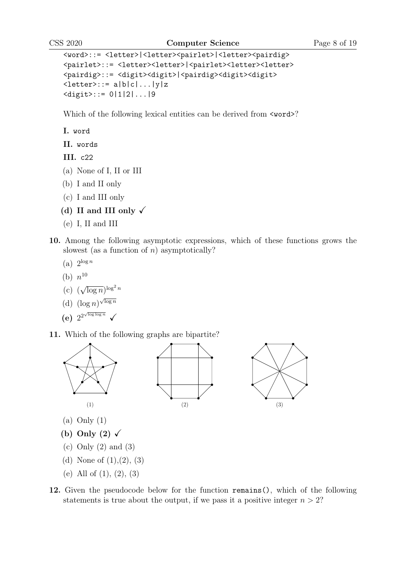```
<word>::= <letter>|<letter><pairlet>|<letter><pairdig>
<pairlet>::= <letter><letter>|<pairlet><letter><
<pairdig>::= <digit><digit>|<pairdig><digit><digit>
\langle\text{letter}\rangle::= a|b|c|...|y|z
<digit>::= 0|1|2|...|9
```
Which of the following lexical entities can be derived from  $\langle \text{word}\rangle$ ?

I. word

II. words

III. c22

- (a) None of I, II or III
- (b) I and II only
- (c) I and III only
- (d) II and III only  $\checkmark$
- (e) I, II and III
- 10. Among the following asymptotic expressions, which of these functions grows the slowest (as a function of  $n$ ) asymptotically?
	- (a)  $2^{\log n}$
	- (b)  $n^{10}$
	- (c) ( √  $\overline{\log n})^{\log^2 n}$
	- (d)  $(\log n)^{\sqrt{\log n}}$
	- (e)  $2^{2^{\sqrt{\log \log n}}}$   $\checkmark$
- 11. Which of the following graphs are bipartite?







- (a) Only (1)
- (b) Only (2)  $\checkmark$
- (c) Only (2) and (3)
- (d) None of  $(1),(2)$ ,  $(3)$
- (e) All of (1), (2), (3)
- 12. Given the pseudocode below for the function remains(), which of the following statements is true about the output, if we pass it a positive integer  $n > 2$ ?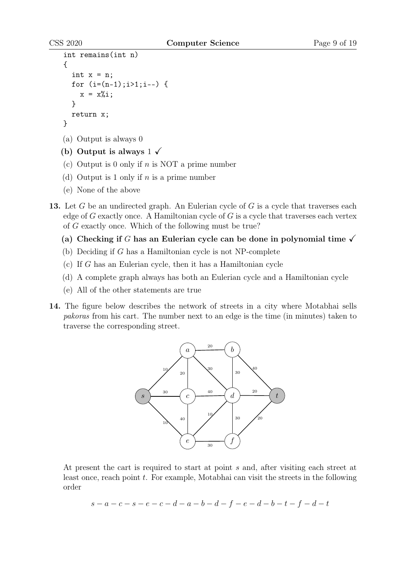```
int remains(int n)
{
  int x = n;
  for (i=(n-1);i>1; i--) {
    x = x\%i;
  }
  return x;
}
(a) Output is always 0
```
- (b) Output is always  $1 \checkmark$
- (c) Output is 0 only if  $n$  is NOT a prime number
- (d) Output is 1 only if  $n$  is a prime number
- (e) None of the above
- 13. Let G be an undirected graph. An Eulerian cycle of G is a cycle that traverses each edge of G exactly once. A Hamiltonian cycle of  $G$  is a cycle that traverses each vertex of G exactly once. Which of the following must be true?
	- (a) Checking if G has an Eulerian cycle can be done in polynomial time  $\checkmark$
	- (b) Deciding if G has a Hamiltonian cycle is not NP-complete
	- (c) If G has an Eulerian cycle, then it has a Hamiltonian cycle
	- (d) A complete graph always has both an Eulerian cycle and a Hamiltonian cycle
	- (e) All of the other statements are true
- 14. The figure below describes the network of streets in a city where Motabhai sells pakoras from his cart. The number next to an edge is the time (in minutes) taken to traverse the corresponding street.



At present the cart is required to start at point s and, after visiting each street at least once, reach point  $t$ . For example, Motabhai can visit the streets in the following order

$$
s - a - c - s - e - c - d - a - b - d - f - e - d - b - t - f - d - t
$$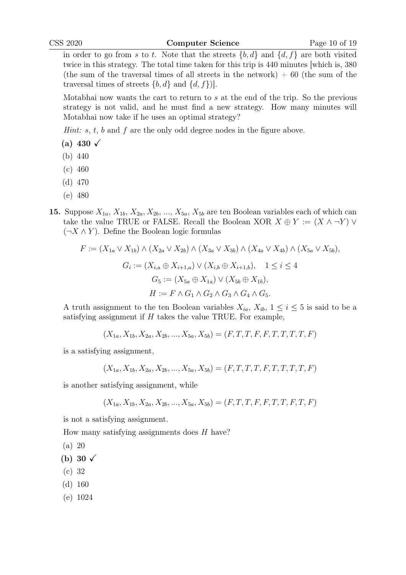in order to go from s to t. Note that the streets  $\{b, d\}$  and  $\{d, f\}$  are both visited twice in this strategy. The total time taken for this trip is 440 minutes [which is, 380 (the sum of the traversal times of all streets in the network)  $+60$  (the sum of the traversal times of streets  $\{b, d\}$  and  $\{d, f\}$ .

Motabhai now wants the cart to return to s at the end of the trip. So the previous strategy is not valid, and he must find a new strategy. How many minutes will Motabhai now take if he uses an optimal strategy?

*Hint:*  $s, t, b$  and  $f$  are the only odd degree nodes in the figure above.

- (a) 430  $\sqrt{ }$
- (b) 440
- (c) 460
- (d) 470
- (e) 480
- 15. Suppose  $X_{1a}$ ,  $X_{1b}$ ,  $X_{2a}$ ,  $X_{2b}$ , ...,  $X_{5a}$ ,  $X_{5b}$  are ten Boolean variables each of which can take the value TRUE or FALSE. Recall the Boolean XOR  $X \oplus Y := (X \wedge \neg Y) \vee Y$  $(\neg X \land Y)$ . Define the Boolean logic formulas

$$
F := (X_{1a} \vee X_{1b}) \wedge (X_{2a} \vee X_{2b}) \wedge (X_{3a} \vee X_{3b}) \wedge (X_{4a} \vee X_{4b}) \wedge (X_{5a} \vee X_{5b}),
$$
  
\n
$$
G_i := (X_{i,a} \oplus X_{i+1,a}) \vee (X_{i,b} \oplus X_{i+1,b}), \quad 1 \le i \le 4
$$
  
\n
$$
G_5 := (X_{5a} \oplus X_{1a}) \vee (X_{5b} \oplus X_{1b}),
$$
  
\n
$$
H := F \wedge G_1 \wedge G_2 \wedge G_3 \wedge G_4 \wedge G_5.
$$

A truth assignment to the ten Boolean variables  $X_{ia}$ ,  $X_{ib}$ ,  $1 \le i \le 5$  is said to be a satisfying assignment if  $H$  takes the value TRUE. For example,

$$
(X_{1a}, X_{1b}, X_{2a}, X_{2b}, ..., X_{5a}, X_{5b}) = (F, T, T, F, F, T, T, T, T, F)
$$

is a satisfying assignment,

$$
(X_{1a}, X_{1b}, X_{2a}, X_{2b}, ..., X_{5a}, X_{5b}) = (F, T, T, T, F, T, T, T, T, F)
$$

is another satisfying assignment, while

$$
(X_{1a}, X_{1b}, X_{2a}, X_{2b}, ..., X_{5a}, X_{5b}) = (F, T, T, F, F, T, T, F, T, F)
$$

is not a satisfying assignment.

How many satisfying assignments does  $H$  have?

$$
(a) 20
$$

- (b) 30  $\checkmark$
- (c) 32
- (d) 160
- (e) 1024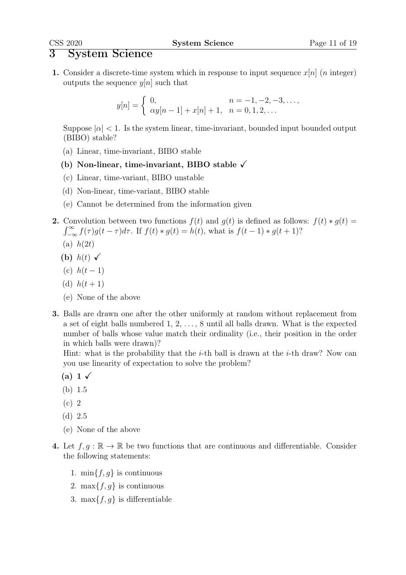### 3 System Science

1. Consider a discrete-time system which in response to input sequence  $x[n]$  (*n* integer) outputs the sequence  $y[n]$  such that

$$
y[n] = \begin{cases} 0, & n = -1, -2, -3, \dots, \\ \alpha y[n-1] + x[n] + 1, & n = 0, 1, 2, \dots \end{cases}
$$

Suppose  $|\alpha| < 1$ . Is the system linear, time-invariant, bounded input bounded output (BIBO) stable?

- (a) Linear, time-invariant, BIBO stable
- (b) Non-linear, time-invariant, BIBO stable  $\sqrt{ }$
- (c) Linear, time-variant, BIBO unstable
- (d) Non-linear, time-variant, BIBO stable
- (e) Cannot be determined from the information given
- 2. Convolution between two functions  $f(t)$  and  $g(t)$  is defined as follows:  $f(t) * g(t) =$  $\int_{-\infty}^{\infty} f(\tau)g(t-\tau)d\tau$ . If  $f(t) * g(t) = h(t)$ , what is  $f(t-1) * g(t+1)$ ?
	- (a)  $h(2t)$
	- (b)  $h(t) \sqrt{2}$
	- (c)  $h(t-1)$
	- (d)  $h(t+1)$
	- (e) None of the above
- 3. Balls are drawn one after the other uniformly at random without replacement from a set of eight balls numbered  $1, 2, \ldots, 8$  until all balls drawn. What is the expected number of balls whose value match their ordinality (i.e., their position in the order in which balls were drawn)?

Hint: what is the probability that the *i*-th ball is drawn at the *i*-th draw? Now can you use linearity of expectation to solve the problem?

- (a) 1  $\checkmark$
- (b) 1.5
- (c) 2
- (d) 2.5
- (e) None of the above
- 4. Let  $f, g : \mathbb{R} \to \mathbb{R}$  be two functions that are continuous and differentiable. Consider the following statements:
	- 1.  $\min\{f, g\}$  is continuous
	- 2. max $\{f, g\}$  is continuous
	- 3. max $\{f, g\}$  is differentiable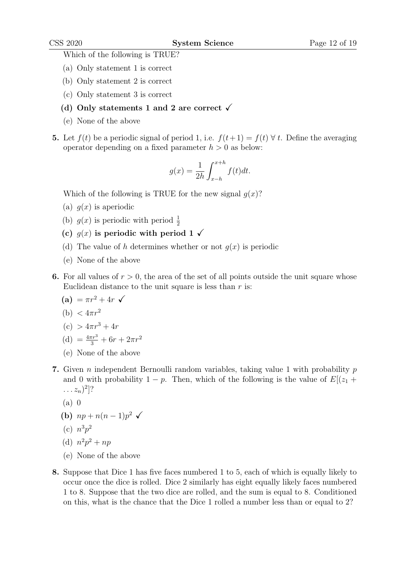- (a) Only statement 1 is correct
- (b) Only statement 2 is correct
- (c) Only statement 3 is correct
- (d) Only statements 1 and 2 are correct  $\sqrt{ }$
- (e) None of the above
- 5. Let  $f(t)$  be a periodic signal of period 1, i.e.  $f(t+1) = f(t) \forall t$ . Define the averaging operator depending on a fixed parameter  $h > 0$  as below:

$$
g(x) = \frac{1}{2h} \int_{x-h}^{x+h} f(t)dt.
$$

Which of the following is TRUE for the new signal  $q(x)$ ?

- (a)  $q(x)$  is aperiodic
- (b)  $g(x)$  is periodic with period  $\frac{1}{2}$
- (c)  $g(x)$  is periodic with period 1  $\checkmark$
- (d) The value of h determines whether or not  $q(x)$  is periodic
- (e) None of the above
- 6. For all values of  $r > 0$ , the area of the set of all points outside the unit square whose Euclidean distance to the unit square is less than  $r$  is:

$$
(a) = \pi r^2 + 4r \sqrt{ }
$$

(b) 
$$
< 4\pi r^2
$$

$$
(c) > 4\pi r^3 + 4r
$$

- (d)  $=$   $\frac{4\pi r^3}{3} + 6r + 2\pi r^2$
- (e) None of the above
- 7. Given *n* independent Bernoulli random variables, taking value 1 with probability  $p$ and 0 with probability  $1 - p$ . Then, which of the following is the value of  $E[(z_1 +$  $\ldots z_n)^2$ ?
	- $(a)$  0
	- (b)  $np + n(n-1)p^2$   $\checkmark$

(c) 
$$
n^3p^2
$$

(d) 
$$
n^2p^2 + np
$$

- (e) None of the above
- 8. Suppose that Dice 1 has five faces numbered 1 to 5, each of which is equally likely to occur once the dice is rolled. Dice 2 similarly has eight equally likely faces numbered 1 to 8. Suppose that the two dice are rolled, and the sum is equal to 8. Conditioned on this, what is the chance that the Dice 1 rolled a number less than or equal to 2?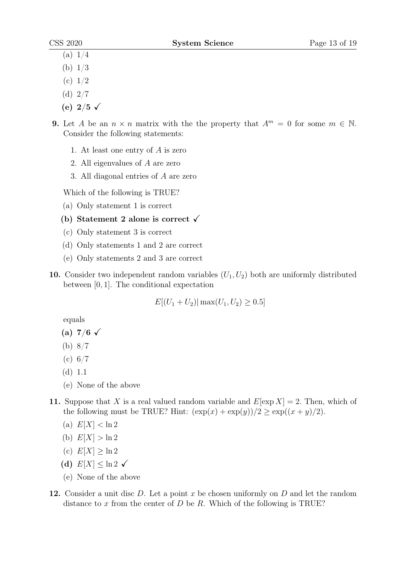- (a)  $1/4$
- (b) 1/3
- (c)  $1/2$
- (d) 2/7
- (e)  $2/5 \sqrt{ }$
- 9. Let A be an  $n \times n$  matrix with the the property that  $A^m = 0$  for some  $m \in \mathbb{N}$ . Consider the following statements:
	- 1. At least one entry of A is zero
	- 2. All eigenvalues of A are zero
	- 3. All diagonal entries of A are zero

- (a) Only statement 1 is correct
- (b) Statement 2 alone is correct  $\checkmark$
- (c) Only statement 3 is correct
- (d) Only statements 1 and 2 are correct
- (e) Only statements 2 and 3 are correct
- 10. Consider two independent random variables  $(U_1, U_2)$  both are uniformly distributed between [0, 1]. The conditional expectation

$$
E[(U_1 + U_2) | \max(U_1, U_2) \ge 0.5]
$$

equals

- (a)  $7/6 \sqrt{ }$
- (b) 8/7
- $(c) 6/7$
- (d) 1.1
- (e) None of the above
- 11. Suppose that X is a real valued random variable and  $E[\exp X] = 2$ . Then, which of the following must be TRUE? Hint:  $(\exp(x) + \exp(y))/2 \geq \exp((x+y)/2)$ .
	- (a)  $E[X] < \ln 2$
	- (b)  $E[X] > \ln 2$
	- (c)  $E[X] \geq \ln 2$
	- (d)  $E[X] \leq \ln 2 \checkmark$
	- (e) None of the above
- **12.** Consider a unit disc  $D$ . Let a point  $x$  be chosen uniformly on  $D$  and let the random distance to x from the center of D be R. Which of the following is TRUE?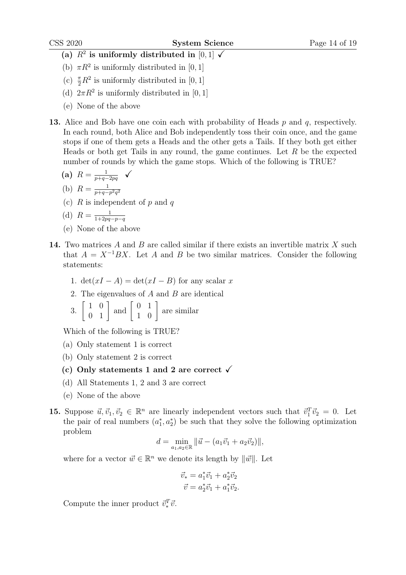- (a)  $R^2$  is uniformly distributed in [0,1]  $\checkmark$
- (b)  $\pi R^2$  is uniformly distributed in [0, 1]
- (c)  $\frac{\pi}{2}R^2$  is uniformly distributed in [0, 1]
- (d)  $2\pi R^2$  is uniformly distributed in [0, 1]
- (e) None of the above
- **13.** Alice and Bob have one coin each with probability of Heads  $p$  and  $q$ , respectively. In each round, both Alice and Bob independently toss their coin once, and the game stops if one of them gets a Heads and the other gets a Tails. If they both get either Heads or both get Tails in any round, the game continues. Let  $R$  be the expected number of rounds by which the game stops. Which of the following is TRUE?

$$
\textbf{(a)}\ \ R = \frac{1}{p+q-2pq} \quad \checkmark
$$

- (b)  $R = \frac{1}{n+a}$  $\overline{p+q-p^2q^2}$
- (c)  $R$  is independent of p and q

(d) 
$$
R = \frac{1}{1 + 2pq - p - q}
$$

- (e) None of the above
- 14. Two matrices  $A$  and  $B$  are called similar if there exists an invertible matrix  $X$  such that  $A = X^{-1}BX$ . Let A and B be two similar matrices. Consider the following statements:
	- 1.  $\det(xI A) = \det(xI B)$  for any scalar x
	- 2. The eigenvalues of A and B are identical

3. 
$$
\begin{bmatrix} 1 & 0 \\ 0 & 1 \end{bmatrix}
$$
 and  $\begin{bmatrix} 0 & 1 \\ 1 & 0 \end{bmatrix}$  are similar

- (a) Only statement 1 is correct
- (b) Only statement 2 is correct
- (c) Only statements 1 and 2 are correct  $\sqrt{ }$
- (d) All Statements 1, 2 and 3 are correct
- (e) None of the above
- 15. Suppose  $\vec{u}, \vec{v}_1, \vec{v}_2 \in \mathbb{R}^n$  are linearly independent vectors such that  $\vec{v}_1^T \vec{v}_2 = 0$ . Let the pair of real numbers  $(a_1^*, a_2^*)$  be such that they solve the following optimization problem

$$
d = \min_{a_1,a_2 \in \mathbb{R}} ||\vec{u} - (a_1\vec{v}_1 + a_2\vec{v}_2)||,
$$

where for a vector  $\vec{w} \in \mathbb{R}^n$  we denote its length by  $\|\vec{w}\|$ . Let

$$
\vec{v}_* = a_1^* \vec{v}_1 + a_2^* \vec{v}_2 \n\vec{v} = a_2^* \vec{v}_1 + a_1^* \vec{v}_2.
$$

Compute the inner product  $\vec{v}_*^T \vec{v}$ .